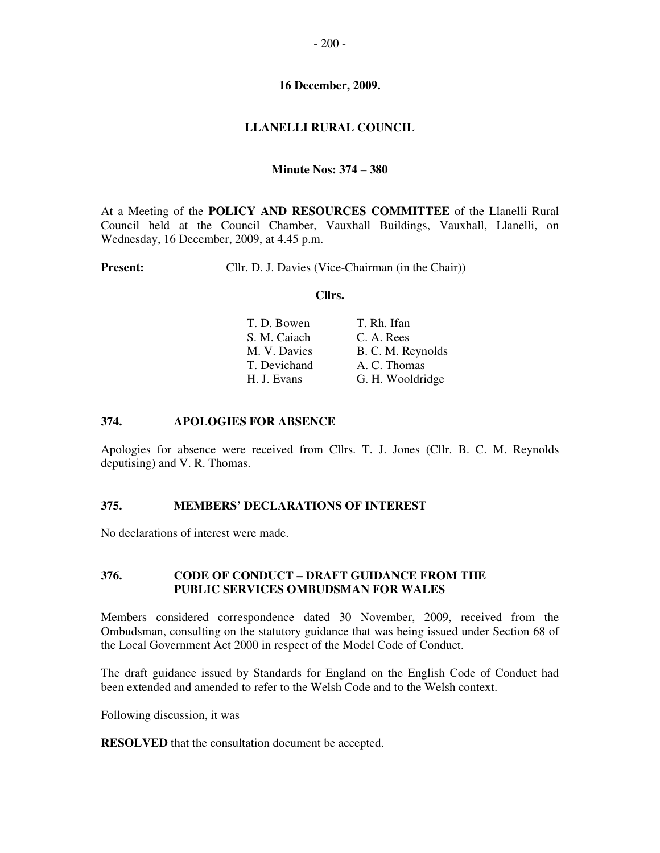#### **16 December, 2009.**

### **LLANELLI RURAL COUNCIL**

#### **Minute Nos: 374 – 380**

At a Meeting of the **POLICY AND RESOURCES COMMITTEE** of the Llanelli Rural Council held at the Council Chamber, Vauxhall Buildings, Vauxhall, Llanelli, on Wednesday, 16 December, 2009, at 4.45 p.m.

**Present:** Cllr. D. J. Davies (Vice-Chairman (in the Chair))

#### **Cllrs.**

| T. Rh. Ifan                                                                |
|----------------------------------------------------------------------------|
| C. A. Rees                                                                 |
| B. C. M. Reynolds                                                          |
| A. C. Thomas                                                               |
| G. H. Wooldridge                                                           |
| T. D. Bowen<br>S. M. Caiach<br>M. V. Davies<br>T. Devichand<br>H. J. Evans |

#### **374. APOLOGIES FOR ABSENCE**

Apologies for absence were received from Cllrs. T. J. Jones (Cllr. B. C. M. Reynolds deputising) and V. R. Thomas.

### **375. MEMBERS' DECLARATIONS OF INTEREST**

No declarations of interest were made.

### **376. CODE OF CONDUCT – DRAFT GUIDANCE FROM THE PUBLIC SERVICES OMBUDSMAN FOR WALES**

Members considered correspondence dated 30 November, 2009, received from the Ombudsman, consulting on the statutory guidance that was being issued under Section 68 of the Local Government Act 2000 in respect of the Model Code of Conduct.

The draft guidance issued by Standards for England on the English Code of Conduct had been extended and amended to refer to the Welsh Code and to the Welsh context.

Following discussion, it was

**RESOLVED** that the consultation document be accepted.